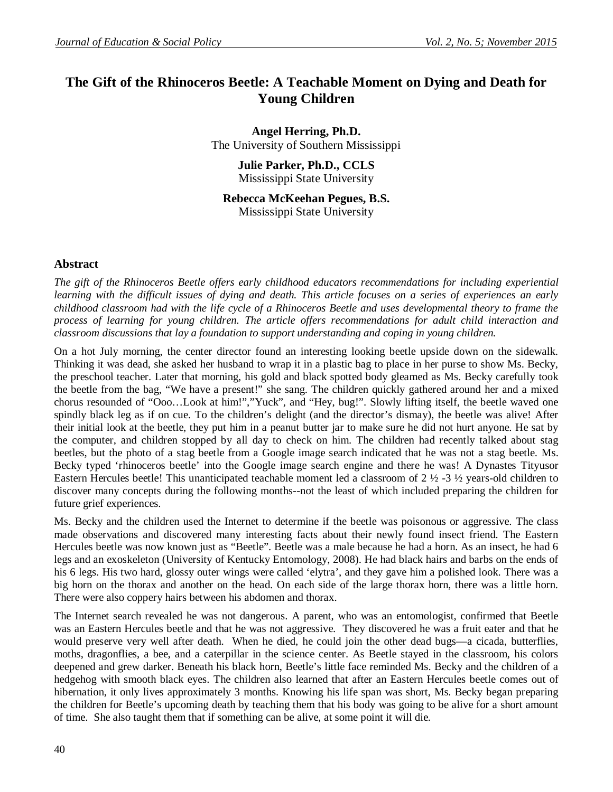# **The Gift of the Rhinoceros Beetle: A Teachable Moment on Dying and Death for Young Children**

**Angel Herring, Ph.D.** The University of Southern Mississippi

> **Julie Parker, Ph.D., CCLS** Mississippi State University

**Rebecca McKeehan Pegues, B.S.** Mississippi State University

#### **Abstract**

*The gift of the Rhinoceros Beetle offers early childhood educators recommendations for including experiential learning with the difficult issues of dying and death. This article focuses on a series of experiences an early childhood classroom had with the life cycle of a Rhinoceros Beetle and uses developmental theory to frame the process of learning for young children. The article offers recommendations for adult child interaction and classroom discussions that lay a foundation to support understanding and coping in young children.* 

On a hot July morning, the center director found an interesting looking beetle upside down on the sidewalk. Thinking it was dead, she asked her husband to wrap it in a plastic bag to place in her purse to show Ms. Becky, the preschool teacher. Later that morning, his gold and black spotted body gleamed as Ms. Becky carefully took the beetle from the bag, "We have a present!" she sang. The children quickly gathered around her and a mixed chorus resounded of "Ooo…Look at him!","Yuck", and "Hey, bug!". Slowly lifting itself, the beetle waved one spindly black leg as if on cue. To the children's delight (and the director's dismay), the beetle was alive! After their initial look at the beetle, they put him in a peanut butter jar to make sure he did not hurt anyone. He sat by the computer, and children stopped by all day to check on him. The children had recently talked about stag beetles, but the photo of a stag beetle from a Google image search indicated that he was not a stag beetle. Ms. Becky typed 'rhinoceros beetle' into the Google image search engine and there he was! A Dynastes Tityusor Eastern Hercules beetle! This unanticipated teachable moment led a classroom of 2 ½ -3 ½ years-old children to discover many concepts during the following months--not the least of which included preparing the children for future grief experiences.

Ms. Becky and the children used the Internet to determine if the beetle was poisonous or aggressive. The class made observations and discovered many interesting facts about their newly found insect friend. The Eastern Hercules beetle was now known just as "Beetle". Beetle was a male because he had a horn. As an insect, he had 6 legs and an exoskeleton (University of Kentucky Entomology, 2008). He had black hairs and barbs on the ends of his 6 legs. His two hard, glossy outer wings were called 'elytra', and they gave him a polished look. There was a big horn on the thorax and another on the head. On each side of the large thorax horn, there was a little horn. There were also coppery hairs between his abdomen and thorax.

The Internet search revealed he was not dangerous. A parent, who was an entomologist, confirmed that Beetle was an Eastern Hercules beetle and that he was not aggressive. They discovered he was a fruit eater and that he would preserve very well after death. When he died, he could join the other dead bugs—a cicada, butterflies, moths, dragonflies, a bee, and a caterpillar in the science center. As Beetle stayed in the classroom, his colors deepened and grew darker. Beneath his black horn, Beetle's little face reminded Ms. Becky and the children of a hedgehog with smooth black eyes. The children also learned that after an Eastern Hercules beetle comes out of hibernation, it only lives approximately 3 months. Knowing his life span was short, Ms. Becky began preparing the children for Beetle's upcoming death by teaching them that his body was going to be alive for a short amount of time. She also taught them that if something can be alive, at some point it will die.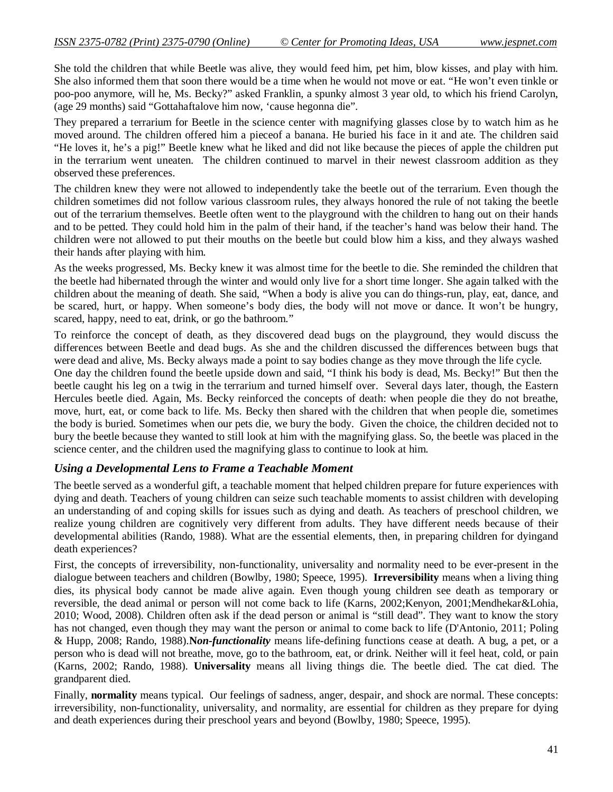She told the children that while Beetle was alive, they would feed him, pet him, blow kisses, and play with him. She also informed them that soon there would be a time when he would not move or eat. "He won't even tinkle or poo-poo anymore, will he, Ms. Becky?" asked Franklin, a spunky almost 3 year old, to which his friend Carolyn, (age 29 months) said "Gottahaftalove him now, 'cause hegonna die".

They prepared a terrarium for Beetle in the science center with magnifying glasses close by to watch him as he moved around. The children offered him a pieceof a banana. He buried his face in it and ate. The children said "He loves it, he's a pig!" Beetle knew what he liked and did not like because the pieces of apple the children put in the terrarium went uneaten. The children continued to marvel in their newest classroom addition as they observed these preferences.

The children knew they were not allowed to independently take the beetle out of the terrarium. Even though the children sometimes did not follow various classroom rules, they always honored the rule of not taking the beetle out of the terrarium themselves. Beetle often went to the playground with the children to hang out on their hands and to be petted. They could hold him in the palm of their hand, if the teacher's hand was below their hand. The children were not allowed to put their mouths on the beetle but could blow him a kiss, and they always washed their hands after playing with him.

As the weeks progressed, Ms. Becky knew it was almost time for the beetle to die. She reminded the children that the beetle had hibernated through the winter and would only live for a short time longer. She again talked with the children about the meaning of death. She said, "When a body is alive you can do things-run, play, eat, dance, and be scared, hurt, or happy. When someone's body dies, the body will not move or dance. It won't be hungry, scared, happy, need to eat, drink, or go the bathroom."

To reinforce the concept of death, as they discovered dead bugs on the playground, they would discuss the differences between Beetle and dead bugs. As she and the children discussed the differences between bugs that were dead and alive, Ms. Becky always made a point to say bodies change as they move through the life cycle.

One day the children found the beetle upside down and said, "I think his body is dead, Ms. Becky!" But then the beetle caught his leg on a twig in the terrarium and turned himself over. Several days later, though, the Eastern Hercules beetle died. Again, Ms. Becky reinforced the concepts of death: when people die they do not breathe, move, hurt, eat, or come back to life. Ms. Becky then shared with the children that when people die, sometimes the body is buried. Sometimes when our pets die, we bury the body. Given the choice, the children decided not to bury the beetle because they wanted to still look at him with the magnifying glass. So, the beetle was placed in the science center, and the children used the magnifying glass to continue to look at him.

#### *Using a Developmental Lens to Frame a Teachable Moment*

The beetle served as a wonderful gift, a teachable moment that helped children prepare for future experiences with dying and death. Teachers of young children can seize such teachable moments to assist children with developing an understanding of and coping skills for issues such as dying and death. As teachers of preschool children, we realize young children are cognitively very different from adults. They have different needs because of their developmental abilities (Rando, 1988). What are the essential elements, then, in preparing children for dyingand death experiences?

First, the concepts of irreversibility, non-functionality, universality and normality need to be ever-present in the dialogue between teachers and children (Bowlby, 1980; Speece, 1995). **Irreversibility** means when a living thing dies, its physical body cannot be made alive again. Even though young children see death as temporary or reversible, the dead animal or person will not come back to life (Karns, 2002;Kenyon, 2001;Mendhekar&Lohia, 2010; Wood, 2008). Children often ask if the dead person or animal is "still dead". They want to know the story has not changed, even though they may want the person or animal to come back to life (D'Antonio, 2011; Poling & Hupp, 2008; Rando, 1988).**N***on-functionality* means life-defining functions cease at death. A bug, a pet, or a person who is dead will not breathe, move, go to the bathroom, eat, or drink. Neither will it feel heat, cold, or pain (Karns, 2002; Rando, 1988). **Universality** means all living things die. The beetle died. The cat died. The grandparent died.

Finally, **normality** means typical. Our feelings of sadness, anger, despair, and shock are normal. These concepts: irreversibility, non-functionality, universality, and normality, are essential for children as they prepare for dying and death experiences during their preschool years and beyond (Bowlby, 1980; Speece, 1995).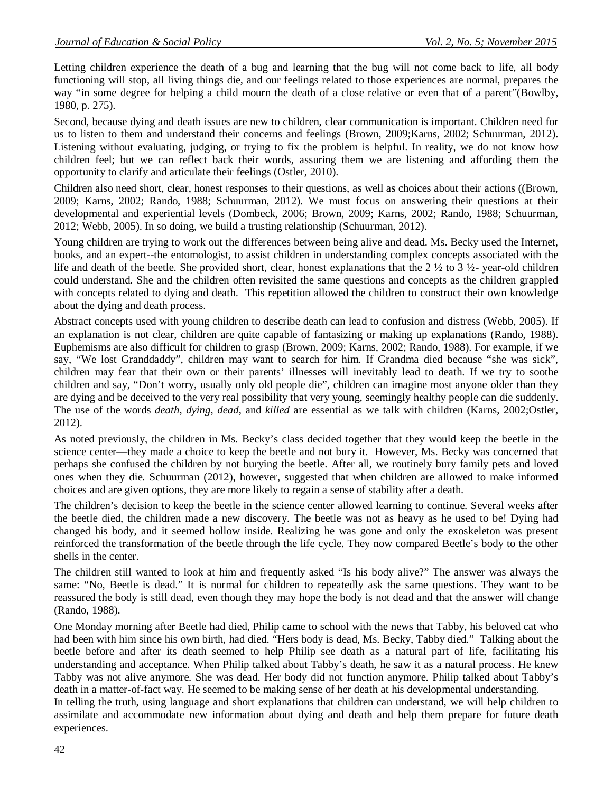Letting children experience the death of a bug and learning that the bug will not come back to life, all body functioning will stop, all living things die, and our feelings related to those experiences are normal, prepares the way "in some degree for helping a child mourn the death of a close relative or even that of a parent"(Bowlby, 1980, p. 275).

Second, because dying and death issues are new to children, clear communication is important. Children need for us to listen to them and understand their concerns and feelings (Brown, 2009; Karns, 2002; Schuurman, 2012). Listening without evaluating, judging, or trying to fix the problem is helpful. In reality, we do not know how children feel; but we can reflect back their words, assuring them we are listening and affording them the opportunity to clarify and articulate their feelings (Ostler, 2010).

Children also need short, clear, honest responses to their questions, as well as choices about their actions ((Brown, 2009; Karns, 2002; Rando, 1988; Schuurman, 2012). We must focus on answering their questions at their developmental and experiential levels (Dombeck, 2006; Brown, 2009; Karns, 2002; Rando, 1988; Schuurman, 2012; Webb, 2005). In so doing, we build a trusting relationship (Schuurman, 2012).

Young children are trying to work out the differences between being alive and dead. Ms. Becky used the Internet, books, and an expert--the entomologist, to assist children in understanding complex concepts associated with the life and death of the beetle. She provided short, clear, honest explanations that the  $2 \frac{1}{2}$  to  $3 \frac{1}{2}$ - year-old children could understand. She and the children often revisited the same questions and concepts as the children grappled with concepts related to dying and death. This repetition allowed the children to construct their own knowledge about the dying and death process.

Abstract concepts used with young children to describe death can lead to confusion and distress (Webb, 2005). If an explanation is not clear, children are quite capable of fantasizing or making up explanations (Rando, 1988). Euphemisms are also difficult for children to grasp (Brown, 2009; Karns, 2002; Rando, 1988). For example, if we say, "We lost Granddaddy", children may want to search for him. If Grandma died because "she was sick", children may fear that their own or their parents' illnesses will inevitably lead to death. If we try to soothe children and say, "Don't worry, usually only old people die", children can imagine most anyone older than they are dying and be deceived to the very real possibility that very young, seemingly healthy people can die suddenly. The use of the words *death*, *dying*, *dead*, and *killed* are essential as we talk with children (Karns, 2002;Ostler, 2012).

As noted previously, the children in Ms. Becky's class decided together that they would keep the beetle in the science center—they made a choice to keep the beetle and not bury it. However, Ms. Becky was concerned that perhaps she confused the children by not burying the beetle. After all, we routinely bury family pets and loved ones when they die. Schuurman (2012), however, suggested that when children are allowed to make informed choices and are given options, they are more likely to regain a sense of stability after a death.

The children's decision to keep the beetle in the science center allowed learning to continue. Several weeks after the beetle died, the children made a new discovery. The beetle was not as heavy as he used to be! Dying had changed his body, and it seemed hollow inside. Realizing he was gone and only the exoskeleton was present reinforced the transformation of the beetle through the life cycle. They now compared Beetle's body to the other shells in the center.

The children still wanted to look at him and frequently asked "Is his body alive?" The answer was always the same: "No, Beetle is dead." It is normal for children to repeatedly ask the same questions. They want to be reassured the body is still dead, even though they may hope the body is not dead and that the answer will change (Rando, 1988).

One Monday morning after Beetle had died, Philip came to school with the news that Tabby, his beloved cat who had been with him since his own birth, had died. "Hers body is dead, Ms. Becky, Tabby died." Talking about the beetle before and after its death seemed to help Philip see death as a natural part of life, facilitating his understanding and acceptance. When Philip talked about Tabby's death, he saw it as a natural process. He knew Tabby was not alive anymore. She was dead. Her body did not function anymore. Philip talked about Tabby's death in a matter-of-fact way. He seemed to be making sense of her death at his developmental understanding.

In telling the truth, using language and short explanations that children can understand, we will help children to assimilate and accommodate new information about dying and death and help them prepare for future death experiences.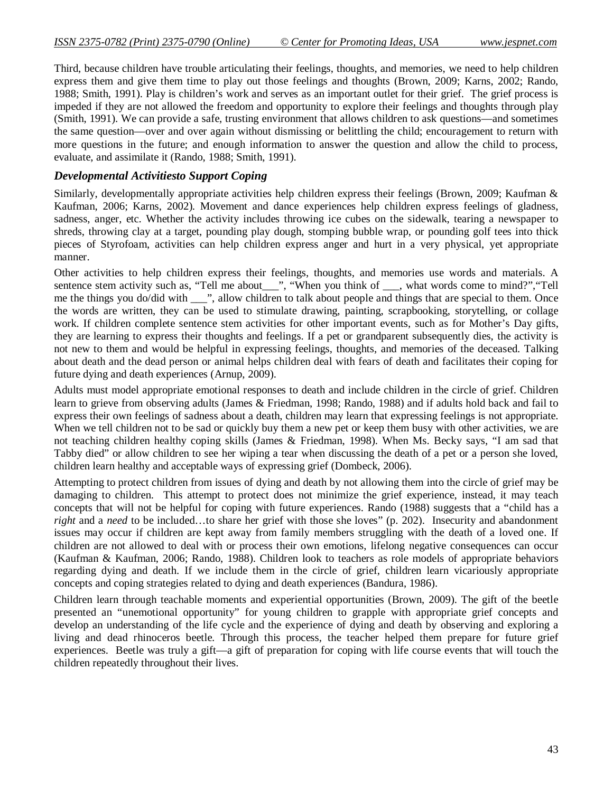Third, because children have trouble articulating their feelings, thoughts, and memories, we need to help children express them and give them time to play out those feelings and thoughts (Brown, 2009; Karns, 2002; Rando, 1988; Smith, 1991). Play is children's work and serves as an important outlet for their grief. The grief process is impeded if they are not allowed the freedom and opportunity to explore their feelings and thoughts through play (Smith, 1991). We can provide a safe, trusting environment that allows children to ask questions—and sometimes the same question—over and over again without dismissing or belittling the child; encouragement to return with more questions in the future; and enough information to answer the question and allow the child to process, evaluate, and assimilate it (Rando, 1988; Smith, 1991).

## *Developmental Activitiesto Support Coping*

Similarly, developmentally appropriate activities help children express their feelings (Brown, 2009; Kaufman & Kaufman, 2006; Karns, 2002). Movement and dance experiences help children express feelings of gladness, sadness, anger, etc. Whether the activity includes throwing ice cubes on the sidewalk, tearing a newspaper to shreds, throwing clay at a target, pounding play dough, stomping bubble wrap, or pounding golf tees into thick pieces of Styrofoam, activities can help children express anger and hurt in a very physical, yet appropriate manner.

Other activities to help children express their feelings, thoughts, and memories use words and materials. A sentence stem activity such as, "Tell me about\_\_\_", "When you think of \_\_\_, what words come to mind?", "Tell me the things you do/did with \_\_\_", allow children to talk about people and things that are special to them. Once the words are written, they can be used to stimulate drawing, painting, scrapbooking, storytelling, or collage work. If children complete sentence stem activities for other important events, such as for Mother's Day gifts, they are learning to express their thoughts and feelings. If a pet or grandparent subsequently dies, the activity is not new to them and would be helpful in expressing feelings, thoughts, and memories of the deceased. Talking about death and the dead person or animal helps children deal with fears of death and facilitates their coping for future dying and death experiences (Arnup, 2009).

Adults must model appropriate emotional responses to death and include children in the circle of grief. Children learn to grieve from observing adults (James & Friedman, 1998; Rando, 1988) and if adults hold back and fail to express their own feelings of sadness about a death, children may learn that expressing feelings is not appropriate. When we tell children not to be sad or quickly buy them a new pet or keep them busy with other activities, we are not teaching children healthy coping skills (James & Friedman, 1998). When Ms. Becky says, "I am sad that Tabby died" or allow children to see her wiping a tear when discussing the death of a pet or a person she loved, children learn healthy and acceptable ways of expressing grief (Dombeck, 2006).

Attempting to protect children from issues of dying and death by not allowing them into the circle of grief may be damaging to children. This attempt to protect does not minimize the grief experience, instead, it may teach concepts that will not be helpful for coping with future experiences. Rando (1988) suggests that a "child has a *right* and a *need* to be included…to share her grief with those she loves" (p. 202). Insecurity and abandonment issues may occur if children are kept away from family members struggling with the death of a loved one. If children are not allowed to deal with or process their own emotions, lifelong negative consequences can occur (Kaufman & Kaufman, 2006; Rando, 1988). Children look to teachers as role models of appropriate behaviors regarding dying and death. If we include them in the circle of grief, children learn vicariously appropriate concepts and coping strategies related to dying and death experiences (Bandura, 1986).

Children learn through teachable moments and experiential opportunities (Brown, 2009). The gift of the beetle presented an "unemotional opportunity" for young children to grapple with appropriate grief concepts and develop an understanding of the life cycle and the experience of dying and death by observing and exploring a living and dead rhinoceros beetle. Through this process, the teacher helped them prepare for future grief experiences. Beetle was truly a gift—a gift of preparation for coping with life course events that will touch the children repeatedly throughout their lives.